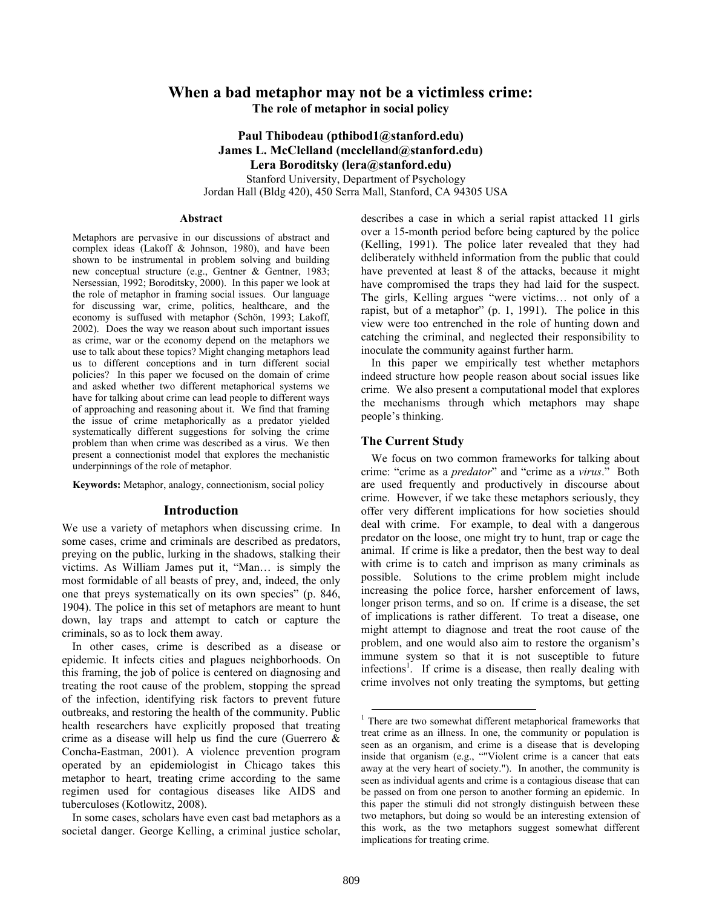# **When a bad metaphor may not be a victimless crime: The role of metaphor in social policy**

# **Paul Thibodeau (pthibod1@stanford.edu) James L. McClelland (mcclelland@stanford.edu) Lera Boroditsky (lera@stanford.edu)**

Stanford University, Department of Psychology Jordan Hall (Bldg 420), 450 Serra Mall, Stanford, CA 94305 USA

#### **Abstract**

Metaphors are pervasive in our discussions of abstract and complex ideas (Lakoff & Johnson, 1980), and have been shown to be instrumental in problem solving and building new conceptual structure (e.g., Gentner & Gentner, 1983; Nersessian, 1992; Boroditsky, 2000). In this paper we look at the role of metaphor in framing social issues. Our language for discussing war, crime, politics, healthcare, and the economy is suffused with metaphor (Schön, 1993; Lakoff, 2002). Does the way we reason about such important issues as crime, war or the economy depend on the metaphors we use to talk about these topics? Might changing metaphors lead us to different conceptions and in turn different social policies? In this paper we focused on the domain of crime and asked whether two different metaphorical systems we have for talking about crime can lead people to different ways of approaching and reasoning about it. We find that framing the issue of crime metaphorically as a predator yielded systematically different suggestions for solving the crime problem than when crime was described as a virus. We then present a connectionist model that explores the mechanistic underpinnings of the role of metaphor.

**Keywords:** Metaphor, analogy, connectionism, social policy

#### **Introduction**

We use a variety of metaphors when discussing crime. In some cases, crime and criminals are described as predators, preying on the public, lurking in the shadows, stalking their victims. As William James put it, "Man… is simply the most formidable of all beasts of prey, and, indeed, the only one that preys systematically on its own species" (p. 846, 1904). The police in this set of metaphors are meant to hunt down, lay traps and attempt to catch or capture the criminals, so as to lock them away.

In other cases, crime is described as a disease or epidemic. It infects cities and plagues neighborhoods. On this framing, the job of police is centered on diagnosing and treating the root cause of the problem, stopping the spread of the infection, identifying risk factors to prevent future outbreaks, and restoring the health of the community. Public health researchers have explicitly proposed that treating crime as a disease will help us find the cure (Guerrero & Concha-Eastman, 2001). A violence prevention program operated by an epidemiologist in Chicago takes this metaphor to heart, treating crime according to the same regimen used for contagious diseases like AIDS and tuberculoses (Kotlowitz, 2008).

In some cases, scholars have even cast bad metaphors as a societal danger. George Kelling, a criminal justice scholar,

describes a case in which a serial rapist attacked 11 girls over a 15-month period before being captured by the police (Kelling, 1991). The police later revealed that they had deliberately withheld information from the public that could have prevented at least 8 of the attacks, because it might have compromised the traps they had laid for the suspect. The girls, Kelling argues "were victims… not only of a rapist, but of a metaphor" (p. 1, 1991). The police in this view were too entrenched in the role of hunting down and catching the criminal, and neglected their responsibility to inoculate the community against further harm.

In this paper we empirically test whether metaphors indeed structure how people reason about social issues like crime. We also present a computational model that explores the mechanisms through which metaphors may shape people's thinking.

# **The Current Study**

We focus on two common frameworks for talking about crime: "crime as a *predator*" and "crime as a *virus*." Both are used frequently and productively in discourse about crime. However, if we take these metaphors seriously, they offer very different implications for how societies should deal with crime. For example, to deal with a dangerous predator on the loose, one might try to hunt, trap or cage the animal. If crime is like a predator, then the best way to deal with crime is to catch and imprison as many criminals as possible. Solutions to the crime problem might include increasing the police force, harsher enforcement of laws, longer prison terms, and so on. If crime is a disease, the set of implications is rather different. To treat a disease, one might attempt to diagnose and treat the root cause of the problem, and one would also aim to restore the organism's immune system so that it is not susceptible to future infections<sup>1</sup>. If crime is a disease, then really dealing with crime involves not only treating the symptoms, but getting

 <sup>1</sup> There are two somewhat different metaphorical frameworks that treat crime as an illness. In one, the community or population is seen as an organism, and crime is a disease that is developing inside that organism (e.g., ""Violent crime is a cancer that eats away at the very heart of society."). In another, the community is seen as individual agents and crime is a contagious disease that can be passed on from one person to another forming an epidemic. In this paper the stimuli did not strongly distinguish between these two metaphors, but doing so would be an interesting extension of this work, as the two metaphors suggest somewhat different implications for treating crime.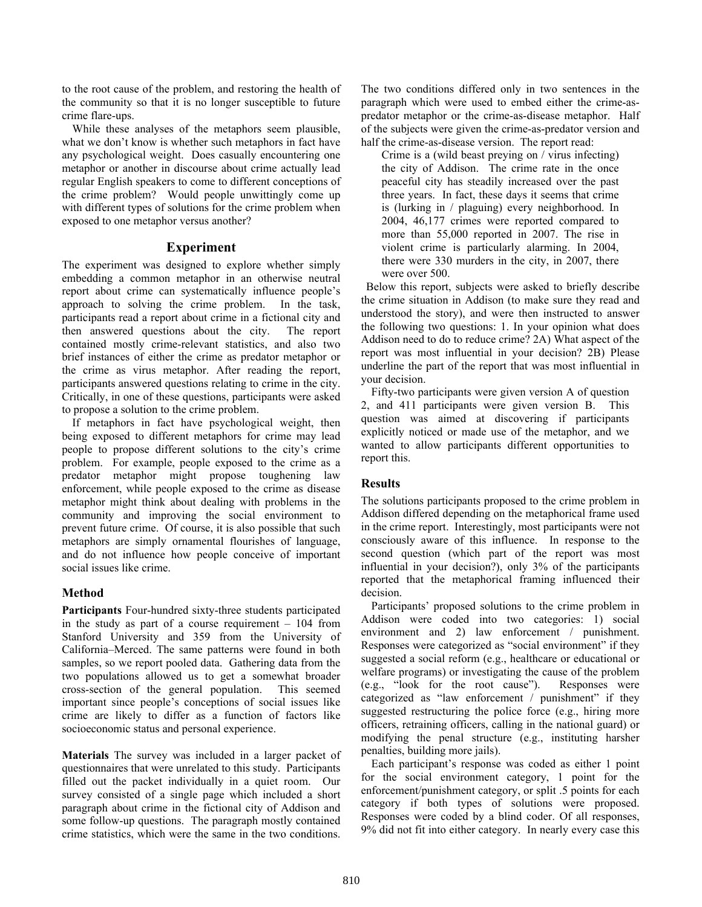to the root cause of the problem, and restoring the health of the community so that it is no longer susceptible to future crime flare-ups.

While these analyses of the metaphors seem plausible, what we don't know is whether such metaphors in fact have any psychological weight. Does casually encountering one metaphor or another in discourse about crime actually lead regular English speakers to come to different conceptions of the crime problem? Would people unwittingly come up with different types of solutions for the crime problem when exposed to one metaphor versus another?

# **Experiment**

The experiment was designed to explore whether simply embedding a common metaphor in an otherwise neutral report about crime can systematically influence people's approach to solving the crime problem. In the task, participants read a report about crime in a fictional city and then answered questions about the city. The report contained mostly crime-relevant statistics, and also two brief instances of either the crime as predator metaphor or the crime as virus metaphor. After reading the report, participants answered questions relating to crime in the city. Critically, in one of these questions, participants were asked to propose a solution to the crime problem.

If metaphors in fact have psychological weight, then being exposed to different metaphors for crime may lead people to propose different solutions to the city's crime problem. For example, people exposed to the crime as a predator metaphor might propose toughening law enforcement, while people exposed to the crime as disease metaphor might think about dealing with problems in the community and improving the social environment to prevent future crime. Of course, it is also possible that such metaphors are simply ornamental flourishes of language, and do not influence how people conceive of important social issues like crime.

# **Method**

**Participants** Four-hundred sixty-three students participated in the study as part of a course requirement  $-104$  from Stanford University and 359 from the University of California–Merced. The same patterns were found in both samples, so we report pooled data. Gathering data from the two populations allowed us to get a somewhat broader cross-section of the general population. This seemed important since people's conceptions of social issues like crime are likely to differ as a function of factors like socioeconomic status and personal experience.

**Materials** The survey was included in a larger packet of questionnaires that were unrelated to this study. Participants filled out the packet individually in a quiet room. Our survey consisted of a single page which included a short paragraph about crime in the fictional city of Addison and some follow-up questions. The paragraph mostly contained crime statistics, which were the same in the two conditions.

The two conditions differed only in two sentences in the paragraph which were used to embed either the crime-aspredator metaphor or the crime-as-disease metaphor. Half of the subjects were given the crime-as-predator version and half the crime-as-disease version. The report read:

Crime is a (wild beast preying on / virus infecting) the city of Addison. The crime rate in the once peaceful city has steadily increased over the past three years. In fact, these days it seems that crime is (lurking in / plaguing) every neighborhood. In 2004, 46,177 crimes were reported compared to more than 55,000 reported in 2007. The rise in violent crime is particularly alarming. In 2004, there were 330 murders in the city, in 2007, there were over 500.

Below this report, subjects were asked to briefly describe the crime situation in Addison (to make sure they read and understood the story), and were then instructed to answer the following two questions: 1. In your opinion what does Addison need to do to reduce crime? 2A) What aspect of the report was most influential in your decision? 2B) Please underline the part of the report that was most influential in your decision.

Fifty-two participants were given version A of question 2, and 411 participants were given version B. This question was aimed at discovering if participants explicitly noticed or made use of the metaphor, and we wanted to allow participants different opportunities to report this.

# **Results**

The solutions participants proposed to the crime problem in Addison differed depending on the metaphorical frame used in the crime report. Interestingly, most participants were not consciously aware of this influence. In response to the second question (which part of the report was most influential in your decision?), only 3% of the participants reported that the metaphorical framing influenced their decision.

Participants' proposed solutions to the crime problem in Addison were coded into two categories: 1) social environment and 2) law enforcement / punishment. Responses were categorized as "social environment" if they suggested a social reform (e.g., healthcare or educational or welfare programs) or investigating the cause of the problem (e.g., "look for the root cause"). Responses were categorized as "law enforcement / punishment" if they suggested restructuring the police force (e.g., hiring more officers, retraining officers, calling in the national guard) or modifying the penal structure (e.g., instituting harsher penalties, building more jails).

Each participant's response was coded as either 1 point for the social environment category, 1 point for the enforcement/punishment category, or split .5 points for each category if both types of solutions were proposed. Responses were coded by a blind coder. Of all responses, 9% did not fit into either category. In nearly every case this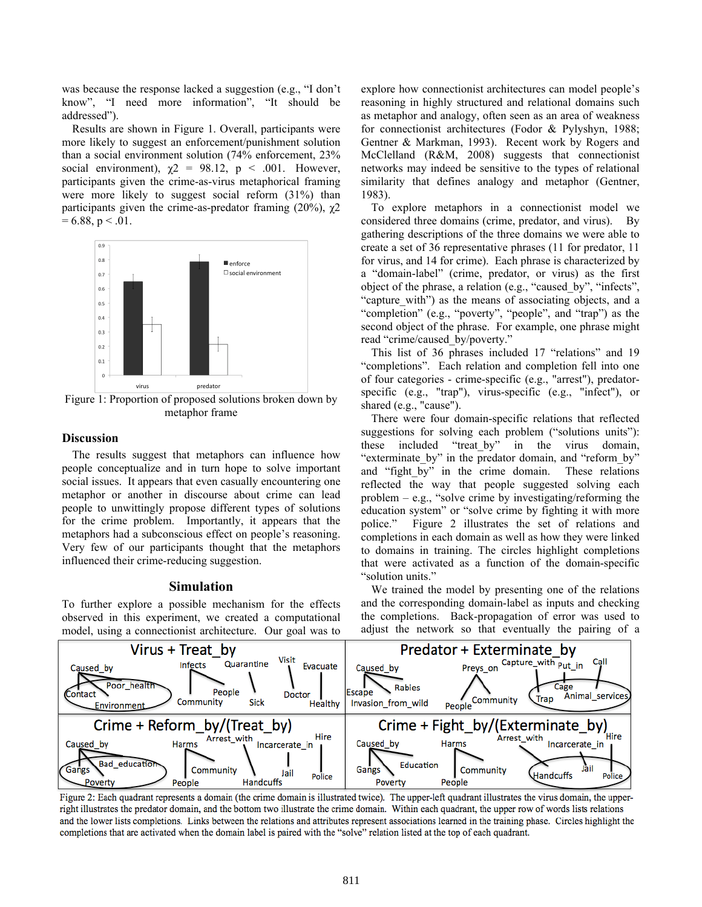was because the response lacked a suggestion (e.g., "I don't know", "I need more information", "It should be addressed").

Results are shown in Figure 1. Overall, participants were more likely to suggest an enforcement/punishment solution than a social environment solution (74% enforcement, 23% social environment),  $\chi$ 2 = 98.12, p < .001. However, participants given the crime-as-virus metaphorical framing were more likely to suggest social reform (31%) than participants given the crime-as-predator framing (20%),  $\chi$ 2  $= 6.88$ , p  $< .01$ .



Figure 1: Proportion of proposed solutions broken down by metaphor frame

#### **Discussion**

The results suggest that metaphors can influence how people conceptualize and in turn hope to solve important social issues. It appears that even casually encountering one metaphor or another in discourse about crime can lead people to unwittingly propose different types of solutions for the crime problem. Importantly, it appears that the metaphors had a subconscious effect on people's reasoning. Very few of our participants thought that the metaphors influenced their crime-reducing suggestion.

#### **Simulation**

To further explore a possible mechanism for the effects observed in this experiment, we created a computational model, using a connectionist architecture. Our goal was to explore how connectionist architectures can model people's reasoning in highly structured and relational domains such as metaphor and analogy, often seen as an area of weakness for connectionist architectures (Fodor & Pylyshyn, 1988; Gentner & Markman, 1993). Recent work by Rogers and McClelland (R&M, 2008) suggests that connectionist networks may indeed be sensitive to the types of relational similarity that defines analogy and metaphor (Gentner, 1983).

To explore metaphors in a connectionist model we considered three domains (crime, predator, and virus). By gathering descriptions of the three domains we were able to create a set of 36 representative phrases (11 for predator, 11 for virus, and 14 for crime). Each phrase is characterized by a "domain-label" (crime, predator, or virus) as the first object of the phrase, a relation (e.g., "caused\_by", "infects", "capture\_with") as the means of associating objects, and a "completion" (e.g., "poverty", "people", and "trap") as the second object of the phrase. For example, one phrase might read "crime/caused\_by/poverty."

This list of 36 phrases included 17 "relations" and 19 "completions". Each relation and completion fell into one of four categories - crime-specific (e.g., "arrest"), predatorspecific (e.g., "trap"), virus-specific (e.g., "infect"), or shared (e.g., "cause").

There were four domain-specific relations that reflected suggestions for solving each problem ("solutions units"): these included "treat\_by" in the virus domain, "exterminate\_by" in the predator domain, and "reform\_by" and "fight\_by" in the crime domain. These relations reflected the way that people suggested solving each problem  $-$  e.g., "solve crime by investigating/reforming the education system" or "solve crime by fighting it with more police." Figure 2 illustrates the set of relations and completions in each domain as well as how they were linked to domains in training. The circles highlight completions that were activated as a function of the domain-specific "solution units."

We trained the model by presenting one of the relations and the corresponding domain-label as inputs and checking the completions. Back-propagation of error was used to adjust the network so that eventually the pairing of a



Figure 2: Each quadrant represents a domain (the crime domain is illustrated twice). The upper-left quadrant illustrates the virus domain, the upperright illustrates the predator domain, and the bottom two illustrate the crime domain. Within each quadrant, the upper row of words lists relations and the lower lists completions. Links between the relations and attributes represent associations learned in the training phase. Circles highlight the completions that are activated when the domain label is paired with the "solve" relation listed at the top of each quadrant.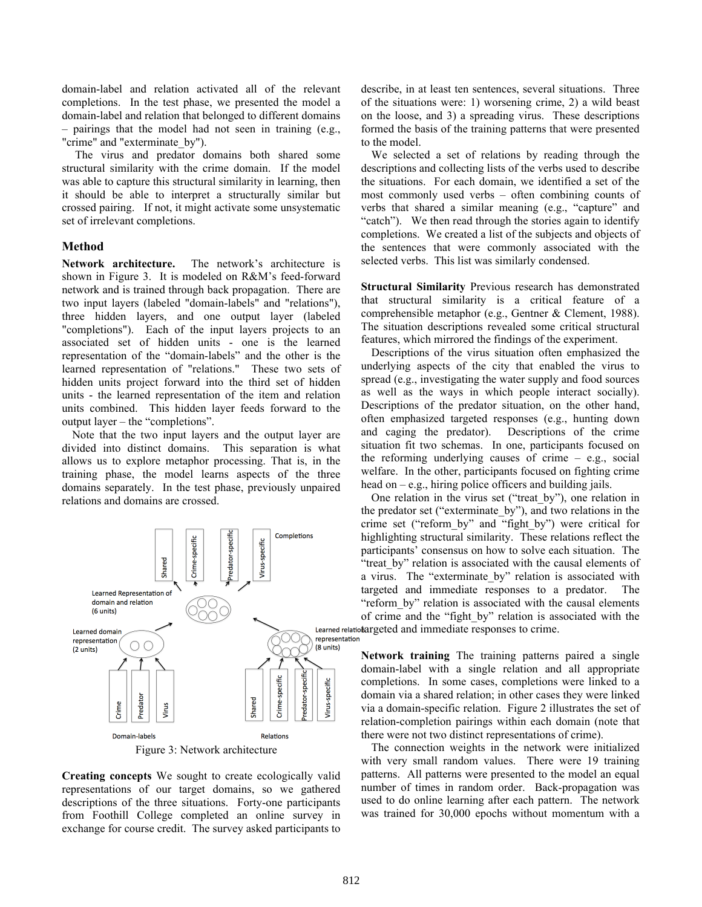domain-label and relation activated all of the relevant completions. In the test phase, we presented the model a domain-label and relation that belonged to different domains – pairings that the model had not seen in training (e.g., "crime" and "exterminate\_by").

The virus and predator domains both shared some structural similarity with the crime domain. If the model was able to capture this structural similarity in learning, then it should be able to interpret a structurally similar but crossed pairing. If not, it might activate some unsystematic set of irrelevant completions.

# **Method**

**Network architecture.** The network's architecture is shown in Figure 3. It is modeled on R&M's feed-forward network and is trained through back propagation. There are two input layers (labeled "domain-labels" and "relations"), three hidden layers, and one output layer (labeled "completions"). Each of the input layers projects to an associated set of hidden units - one is the learned representation of the "domain-labels" and the other is the learned representation of "relations." These two sets of hidden units project forward into the third set of hidden units - the learned representation of the item and relation units combined. This hidden layer feeds forward to the output layer – the "completions".

Note that the two input layers and the output layer are divided into distinct domains. This separation is what allows us to explore metaphor processing. That is, in the training phase, the model learns aspects of the three domains separately. In the test phase, previously unpaired relations and domains are crossed.



**Creating concepts** We sought to create ecologically valid representations of our target domains, so we gathered descriptions of the three situations. Forty-one participants from Foothill College completed an online survey in exchange for course credit. The survey asked participants to describe, in at least ten sentences, several situations. Three of the situations were: 1) worsening crime, 2) a wild beast on the loose, and 3) a spreading virus. These descriptions formed the basis of the training patterns that were presented to the model.

We selected a set of relations by reading through the descriptions and collecting lists of the verbs used to describe the situations. For each domain, we identified a set of the most commonly used verbs – often combining counts of verbs that shared a similar meaning (e.g., "capture" and "catch"). We then read through the stories again to identify completions. We created a list of the subjects and objects of the sentences that were commonly associated with the selected verbs. This list was similarly condensed.

**Structural Similarity** Previous research has demonstrated that structural similarity is a critical feature of a comprehensible metaphor (e.g., Gentner & Clement, 1988). The situation descriptions revealed some critical structural features, which mirrored the findings of the experiment.

Descriptions of the virus situation often emphasized the underlying aspects of the city that enabled the virus to spread (e.g., investigating the water supply and food sources as well as the ways in which people interact socially). Descriptions of the predator situation, on the other hand, often emphasized targeted responses (e.g., hunting down and caging the predator). Descriptions of the crime situation fit two schemas. In one, participants focused on the reforming underlying causes of crime – e.g., social welfare. In the other, participants focused on fighting crime head on  $-e.g.,$  hiring police officers and building jails.

One relation in the virus set ("treat\_by"), one relation in the predator set ("exterminate\_by"), and two relations in the crime set ("reform\_by" and "fight\_by") were critical for highlighting structural similarity. These relations reflect the participants' consensus on how to solve each situation. The "treat by" relation is associated with the causal elements of a virus. The "exterminate by" relation is associated with targeted and immediate responses to a predator. The "reform by" relation is associated with the causal elements of crime and the "fight\_by" relation is associated with the Learned relatiotargeted and immediate responses to crime.

> **Network training** The training patterns paired a single domain-label with a single relation and all appropriate completions. In some cases, completions were linked to a domain via a shared relation; in other cases they were linked via a domain-specific relation. Figure 2 illustrates the set of relation-completion pairings within each domain (note that there were not two distinct representations of crime).

> The connection weights in the network were initialized with very small random values. There were 19 training patterns. All patterns were presented to the model an equal number of times in random order. Back-propagation was used to do online learning after each pattern. The network was trained for 30,000 epochs without momentum with a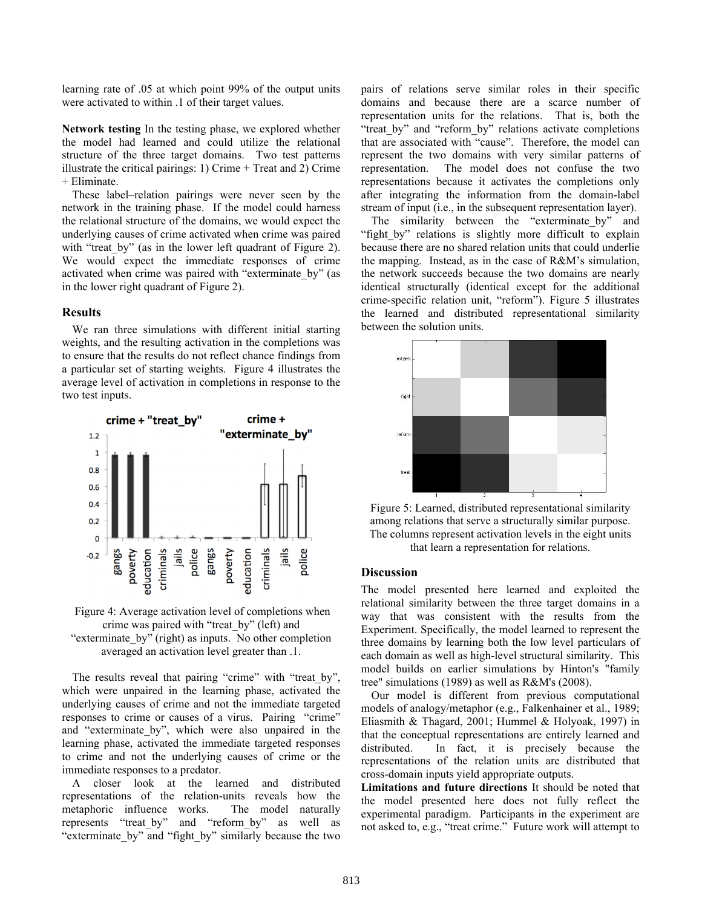learning rate of .05 at which point 99% of the output units were activated to within .1 of their target values.

**Network testing** In the testing phase, we explored whether the model had learned and could utilize the relational structure of the three target domains. Two test patterns illustrate the critical pairings: 1) Crime + Treat and 2) Crime + Eliminate.

These label–relation pairings were never seen by the network in the training phase. If the model could harness the relational structure of the domains, we would expect the underlying causes of crime activated when crime was paired with "treat by" (as in the lower left quadrant of Figure 2). We would expect the immediate responses of crime activated when crime was paired with "exterminate\_by" (as in the lower right quadrant of Figure 2).

## **Results**

We ran three simulations with different initial starting weights, and the resulting activation in the completions was to ensure that the results do not reflect chance findings from a particular set of starting weights. Figure 4 illustrates the average level of activation in completions in response to the two test inputs.



 Figure 4: Average activation level of completions when crime was paired with "treat\_by" (left) and "exterminate\_by" (right) as inputs. No other completion averaged an activation level greater than .1.

The results reveal that pairing "crime" with "treat by", which were unpaired in the learning phase, activated the underlying causes of crime and not the immediate targeted responses to crime or causes of a virus. Pairing "crime" and "exterminate\_by", which were also unpaired in the learning phase, activated the immediate targeted responses to crime and not the underlying causes of crime or the immediate responses to a predator.

A closer look at the learned and distributed representations of the relation-units reveals how the metaphoric influence works. The model naturally represents "treat\_by" and "reform\_by" as well as "exterminate by" and "fight by" similarly because the two pairs of relations serve similar roles in their specific domains and because there are a scarce number of representation units for the relations. That is, both the "treat by" and "reform by" relations activate completions that are associated with "cause". Therefore, the model can represent the two domains with very similar patterns of representation. The model does not confuse the two representations because it activates the completions only after integrating the information from the domain-label stream of input (i.e., in the subsequent representation layer).

The similarity between the "exterminate by" and "fight by" relations is slightly more difficult to explain because there are no shared relation units that could underlie the mapping. Instead, as in the case of R&M's simulation, the network succeeds because the two domains are nearly identical structurally (identical except for the additional crime-specific relation unit, "reform"). Figure 5 illustrates the learned and distributed representational similarity between the solution units.



Figure 5: Learned, distributed representational similarity among relations that serve a structurally similar purpose. The columns represent activation levels in the eight units that learn a representation for relations.

### **Discussion**

The model presented here learned and exploited the relational similarity between the three target domains in a way that was consistent with the results from the Experiment. Specifically, the model learned to represent the three domains by learning both the low level particulars of each domain as well as high-level structural similarity. This model builds on earlier simulations by Hinton's "family tree" simulations (1989) as well as R&M's (2008).

Our model is different from previous computational models of analogy/metaphor (e.g., Falkenhainer et al., 1989; Eliasmith & Thagard, 2001; Hummel & Holyoak, 1997) in that the conceptual representations are entirely learned and distributed. In fact, it is precisely because the representations of the relation units are distributed that cross-domain inputs yield appropriate outputs.

**Limitations and future directions** It should be noted that the model presented here does not fully reflect the experimental paradigm. Participants in the experiment are not asked to, e.g., "treat crime." Future work will attempt to